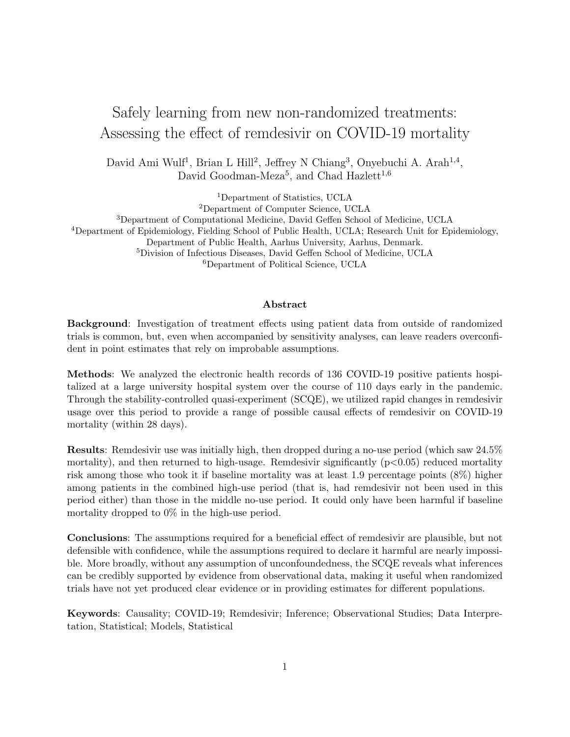# Safely learning from new non-randomized treatments: Assessing the effect of remdesivir on COVID-19 mortality

David Ami Wulf<sup>1</sup>, Brian L Hill<sup>2</sup>, Jeffrey N Chiang<sup>3</sup>, Onyebuchi A. Arah<sup>1,4</sup>, David Goodman-Meza<sup>5</sup>, and Chad Hazlett<sup>1,6</sup>

<sup>1</sup>Department of Statistics, UCLA

<sup>2</sup>Department of Computer Science, UCLA

Department of Computational Medicine, David Geffen School of Medicine, UCLA Department of Epidemiology, Fielding School of Public Health, UCLA; Research Unit for Epidemiology, Department of Public Health, Aarhus University, Aarhus, Denmark. Division of Infectious Diseases, David Geffen School of Medicine, UCLA Department of Political Science, UCLA

#### Abstract

Background: Investigation of treatment effects using patient data from outside of randomized trials is common, but, even when accompanied by sensitivity analyses, can leave readers overconfident in point estimates that rely on improbable assumptions.

Methods: We analyzed the electronic health records of 136 COVID-19 positive patients hospitalized at a large university hospital system over the course of 110 days early in the pandemic. Through the stability-controlled quasi-experiment (SCQE), we utilized rapid changes in remdesivir usage over this period to provide a range of possible causal effects of remdesivir on COVID-19 mortality (within 28 days).

Results: Remdesivir use was initially high, then dropped during a no-use period (which saw 24.5% mortality), and then returned to high-usage. Remdesivir significantly  $(p<0.05)$  reduced mortality risk among those who took it if baseline mortality was at least 1.9 percentage points (8%) higher among patients in the combined high-use period (that is, had remdesivir not been used in this period either) than those in the middle no-use period. It could only have been harmful if baseline mortality dropped to 0% in the high-use period.

Conclusions: The assumptions required for a beneficial effect of remdesivir are plausible, but not defensible with confidence, while the assumptions required to declare it harmful are nearly impossible. More broadly, without any assumption of unconfoundedness, the SCQE reveals what inferences can be credibly supported by evidence from observational data, making it useful when randomized trials have not yet produced clear evidence or in providing estimates for different populations.

Keywords: Causality; COVID-19; Remdesivir; Inference; Observational Studies; Data Interpretation, Statistical; Models, Statistical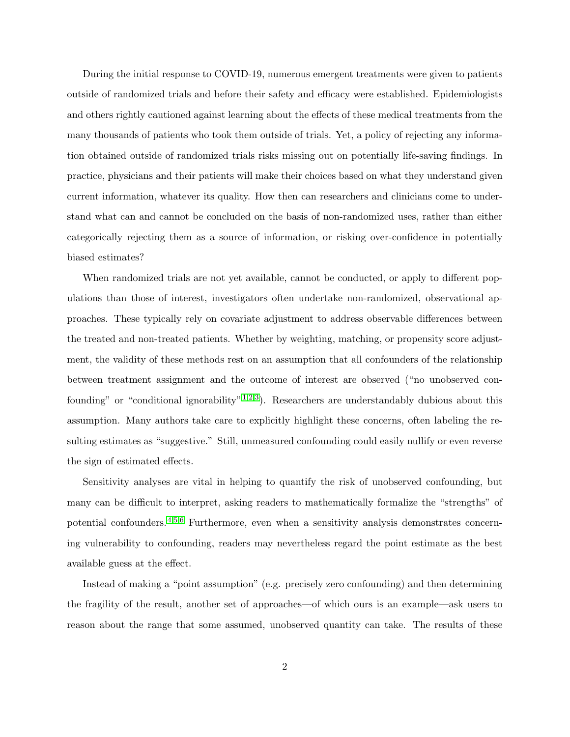During the initial response to COVID-19, numerous emergent treatments were given to patients outside of randomized trials and before their safety and efficacy were established. Epidemiologists and others rightly cautioned against learning about the effects of these medical treatments from the many thousands of patients who took them outside of trials. Yet, a policy of rejecting any information obtained outside of randomized trials risks missing out on potentially life-saving findings. In practice, physicians and their patients will make their choices based on what they understand given current information, whatever its quality. How then can researchers and clinicians come to understand what can and cannot be concluded on the basis of non-randomized uses, rather than either categorically rejecting them as a source of information, or risking over-confidence in potentially biased estimates?

When randomized trials are not yet available, cannot be conducted, or apply to different populations than those of interest, investigators often undertake non-randomized, observational approaches. These typically rely on covariate adjustment to address observable differences between the treated and non-treated patients. Whether by weighting, matching, or propensity score adjustment, the validity of these methods rest on an assumption that all confounders of the relationship between treatment assignment and the outcome of interest are observed ("no unobserved confounding" or "conditional ignorability"  $1,2,3$  $1,2,3$  $1,2,3$ ). Researchers are understandably dubious about this assumption. Many authors take care to explicitly highlight these concerns, often labeling the resulting estimates as "suggestive." Still, unmeasured confounding could easily nullify or even reverse the sign of estimated effects.

Sensitivity analyses are vital in helping to quantify the risk of unobserved confounding, but many can be difficult to interpret, asking readers to mathematically formalize the "strengths" of potential confounders. [4,](#page-15-3)[5](#page-15-4)[,6](#page-15-5) Furthermore, even when a sensitivity analysis demonstrates concerning vulnerability to confounding, readers may nevertheless regard the point estimate as the best available guess at the effect.

Instead of making a "point assumption" (e.g. precisely zero confounding) and then determining the fragility of the result, another set of approaches—of which ours is an example—ask users to reason about the range that some assumed, unobserved quantity can take. The results of these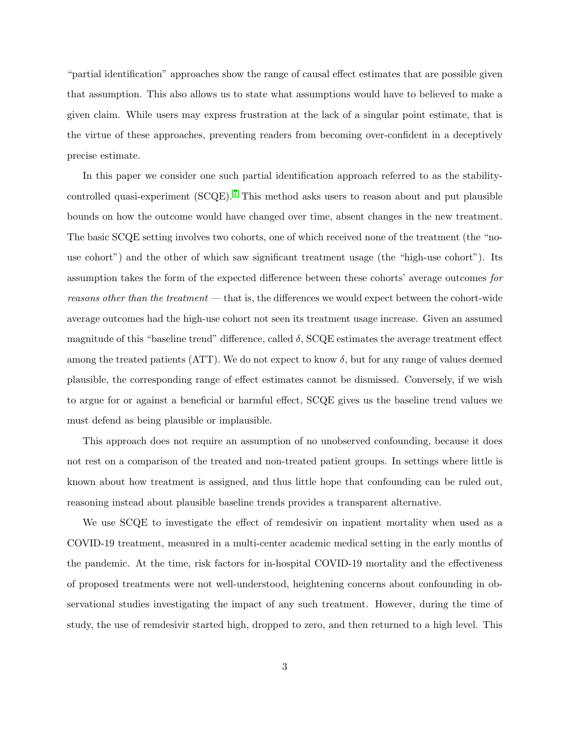"partial identification" approaches show the range of causal effect estimates that are possible given that assumption. This also allows us to state what assumptions would have to believed to make a given claim. While users may express frustration at the lack of a singular point estimate, that is the virtue of these approaches, preventing readers from becoming over-confident in a deceptively precise estimate.

In this paper we consider one such partial identification approach referred to as the stabilitycontrolled quasi-experiment  $(SCQE)$ .<sup>[7](#page-15-6)</sup> This method asks users to reason about and put plausible bounds on how the outcome would have changed over time, absent changes in the new treatment. The basic SCQE setting involves two cohorts, one of which received none of the treatment (the "nouse cohort") and the other of which saw significant treatment usage (the "high-use cohort"). Its assumption takes the form of the expected difference between these cohorts' average outcomes for reasons other than the treatment — that is, the differences we would expect between the cohort-wide average outcomes had the high-use cohort not seen its treatment usage increase. Given an assumed magnitude of this "baseline trend" difference, called  $\delta$ , SCQE estimates the average treatment effect among the treated patients (ATT). We do not expect to know  $\delta$ , but for any range of values deemed plausible, the corresponding range of effect estimates cannot be dismissed. Conversely, if we wish to argue for or against a beneficial or harmful effect, SCQE gives us the baseline trend values we must defend as being plausible or implausible.

This approach does not require an assumption of no unobserved confounding, because it does not rest on a comparison of the treated and non-treated patient groups. In settings where little is known about how treatment is assigned, and thus little hope that confounding can be ruled out, reasoning instead about plausible baseline trends provides a transparent alternative.

We use SCQE to investigate the effect of remdesivir on inpatient mortality when used as a COVID-19 treatment, measured in a multi-center academic medical setting in the early months of the pandemic. At the time, risk factors for in-hospital COVID-19 mortality and the effectiveness of proposed treatments were not well-understood, heightening concerns about confounding in observational studies investigating the impact of any such treatment. However, during the time of study, the use of remdesivir started high, dropped to zero, and then returned to a high level. This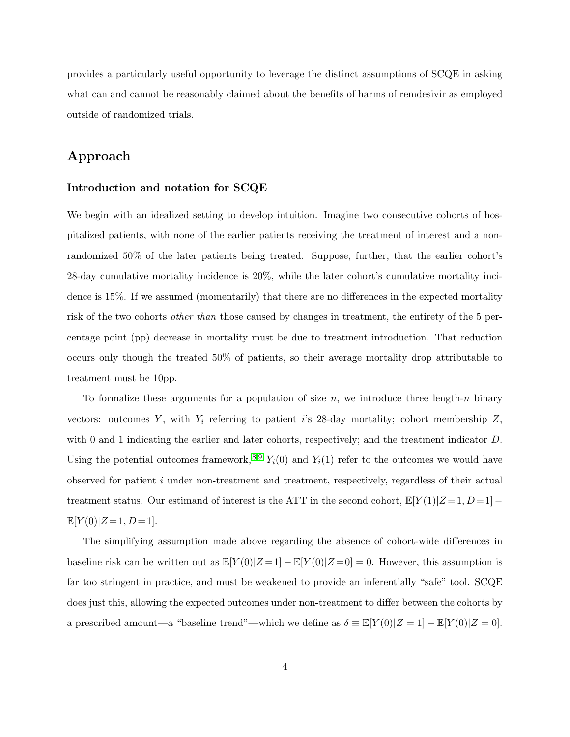provides a particularly useful opportunity to leverage the distinct assumptions of SCQE in asking what can and cannot be reasonably claimed about the benefits of harms of remdesivir as employed outside of randomized trials.

## Approach

#### Introduction and notation for SCQE

We begin with an idealized setting to develop intuition. Imagine two consecutive cohorts of hospitalized patients, with none of the earlier patients receiving the treatment of interest and a nonrandomized 50% of the later patients being treated. Suppose, further, that the earlier cohort's 28-day cumulative mortality incidence is 20%, while the later cohort's cumulative mortality incidence is 15%. If we assumed (momentarily) that there are no differences in the expected mortality risk of the two cohorts other than those caused by changes in treatment, the entirety of the 5 percentage point (pp) decrease in mortality must be due to treatment introduction. That reduction occurs only though the treated 50% of patients, so their average mortality drop attributable to treatment must be 10pp.

To formalize these arguments for a population of size  $n$ , we introduce three length-n binary vectors: outcomes Y, with  $Y_i$  referring to patient i's 28-day mortality; cohort membership Z, with 0 and 1 indicating the earlier and later cohorts, respectively; and the treatment indicator D. Using the potential outcomes framework,<sup>[8,](#page-15-7)[9](#page-15-8)</sup>  $Y_i(0)$  and  $Y_i(1)$  refer to the outcomes we would have observed for patient i under non-treatment and treatment, respectively, regardless of their actual treatment status. Our estimand of interest is the ATT in the second cohort,  $\mathbb{E}[Y(1)|Z=1, D=1]$  $\mathbb{E}[Y(0)|Z=1,D=1].$ 

The simplifying assumption made above regarding the absence of cohort-wide differences in baseline risk can be written out as  $\mathbb{E}[Y(0)|Z=1] - \mathbb{E}[Y(0)|Z=0] = 0$ . However, this assumption is far too stringent in practice, and must be weakened to provide an inferentially "safe" tool. SCQE does just this, allowing the expected outcomes under non-treatment to differ between the cohorts by a prescribed amount—a "baseline trend"—which we define as  $\delta \equiv \mathbb{E}[Y(0)|Z=1] - \mathbb{E}[Y(0)|Z=0]$ .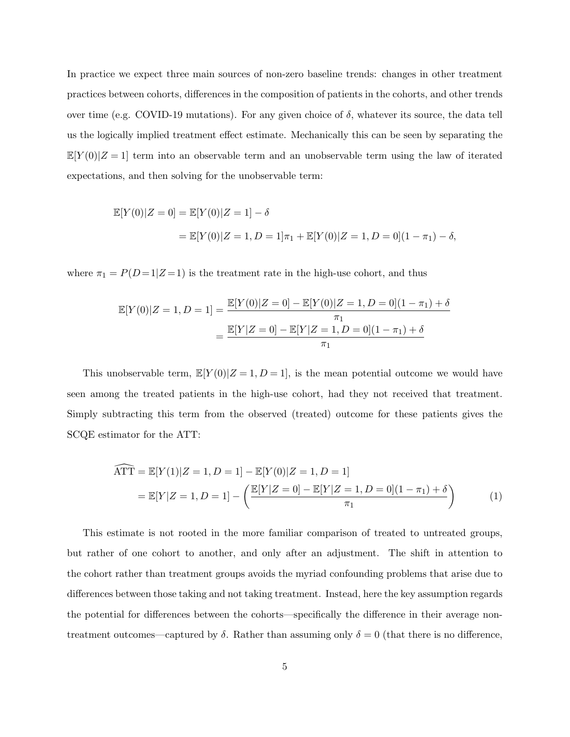In practice we expect three main sources of non-zero baseline trends: changes in other treatment practices between cohorts, differences in the composition of patients in the cohorts, and other trends over time (e.g. COVID-19 mutations). For any given choice of δ, whatever its source, the data tell us the logically implied treatment effect estimate. Mechanically this can be seen by separating the  $\mathbb{E}[Y(0)|Z=1]$  term into an observable term and an unobservable term using the law of iterated expectations, and then solving for the unobservable term:

$$
\mathbb{E}[Y(0)|Z=0] = \mathbb{E}[Y(0)|Z=1] - \delta
$$
  
= 
$$
\mathbb{E}[Y(0)|Z=1, D=1]\pi_1 + \mathbb{E}[Y(0)|Z=1, D=0](1-\pi_1) - \delta,
$$

where  $\pi_1 = P(D=1|Z=1)$  is the treatment rate in the high-use cohort, and thus

$$
\mathbb{E}[Y(0)|Z=1, D=1] = \frac{\mathbb{E}[Y(0)|Z=0] - \mathbb{E}[Y(0)|Z=1, D=0](1-\pi_1) + \delta}{\pi_1}
$$

$$
= \frac{\mathbb{E}[Y|Z=0] - \mathbb{E}[Y|Z=1, D=0](1-\pi_1) + \delta}{\pi_1}
$$

This unobservable term,  $\mathbb{E}[Y(0)|Z=1, D=1]$ , is the mean potential outcome we would have seen among the treated patients in the high-use cohort, had they not received that treatment. Simply subtracting this term from the observed (treated) outcome for these patients gives the SCQE estimator for the ATT:

<span id="page-4-0"></span>
$$
\widehat{\text{ATT}} = \mathbb{E}[Y(1)|Z=1, D=1] - \mathbb{E}[Y(0)|Z=1, D=1]
$$

$$
= \mathbb{E}[Y|Z=1, D=1] - \left(\frac{\mathbb{E}[Y|Z=0] - \mathbb{E}[Y|Z=1, D=0](1-\pi_1) + \delta}{\pi_1}\right)
$$
(1)

This estimate is not rooted in the more familiar comparison of treated to untreated groups, but rather of one cohort to another, and only after an adjustment. The shift in attention to the cohort rather than treatment groups avoids the myriad confounding problems that arise due to differences between those taking and not taking treatment. Instead, here the key assumption regards the potential for differences between the cohorts—specifically the difference in their average nontreatment outcomes—captured by  $\delta$ . Rather than assuming only  $\delta = 0$  (that there is no difference,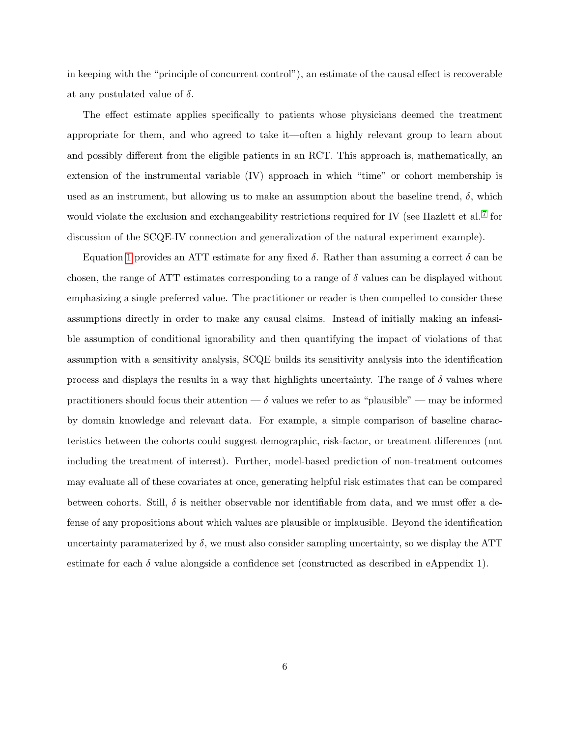in keeping with the "principle of concurrent control"), an estimate of the causal effect is recoverable at any postulated value of  $\delta$ .

The effect estimate applies specifically to patients whose physicians deemed the treatment appropriate for them, and who agreed to take it—often a highly relevant group to learn about and possibly different from the eligible patients in an RCT. This approach is, mathematically, an extension of the instrumental variable (IV) approach in which "time" or cohort membership is used as an instrument, but allowing us to make an assumption about the baseline trend,  $\delta$ , which would violate the exclusion and exchangeability restrictions required for IV (see Hazlett et al.<sup>[7](#page-15-6)</sup> for discussion of the SCQE-IV connection and generalization of the natural experiment example).

Equation [1](#page-4-0) provides an ATT estimate for any fixed δ. Rather than assuming a correct δ can be chosen, the range of ATT estimates corresponding to a range of  $\delta$  values can be displayed without emphasizing a single preferred value. The practitioner or reader is then compelled to consider these assumptions directly in order to make any causal claims. Instead of initially making an infeasible assumption of conditional ignorability and then quantifying the impact of violations of that assumption with a sensitivity analysis, SCQE builds its sensitivity analysis into the identification process and displays the results in a way that highlights uncertainty. The range of  $\delta$  values where practitioners should focus their attention —  $\delta$  values we refer to as "plausible" — may be informed by domain knowledge and relevant data. For example, a simple comparison of baseline characteristics between the cohorts could suggest demographic, risk-factor, or treatment differences (not including the treatment of interest). Further, model-based prediction of non-treatment outcomes may evaluate all of these covariates at once, generating helpful risk estimates that can be compared between cohorts. Still,  $\delta$  is neither observable nor identifiable from data, and we must offer a defense of any propositions about which values are plausible or implausible. Beyond the identification uncertainty paramaterized by  $\delta$ , we must also consider sampling uncertainty, so we display the ATT estimate for each  $\delta$  value alongside a confidence set (constructed as described in eAppendix 1).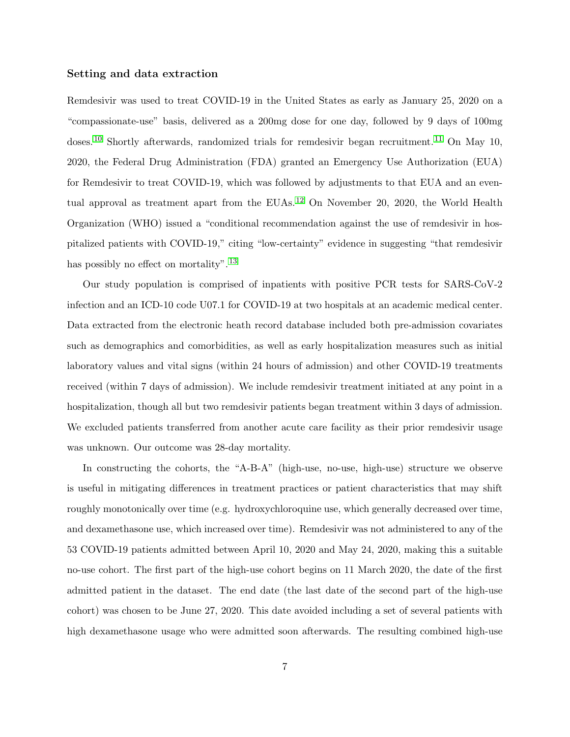#### Setting and data extraction

Remdesivir was used to treat COVID-19 in the United States as early as January 25, 2020 on a "compassionate-use" basis, delivered as a 200mg dose for one day, followed by 9 days of 100mg doses.<sup>[10](#page-15-9)</sup> Shortly afterwards, randomized trials for remdesivir began recruitment.<sup>[11](#page-16-0)</sup> On May 10, 2020, the Federal Drug Administration (FDA) granted an Emergency Use Authorization (EUA) for Remdesivir to treat COVID-19, which was followed by adjustments to that EUA and an even-tual approval as treatment apart from the EUAs.<sup>[12](#page-16-1)</sup> On November 20, 2020, the World Health Organization (WHO) issued a "conditional recommendation against the use of remdesivir in hospitalized patients with COVID-19," citing "low-certainty" evidence in suggesting "that remdesivir has possibly no effect on mortality".<sup>[13](#page-16-2)</sup>

Our study population is comprised of inpatients with positive PCR tests for SARS-CoV-2 infection and an ICD-10 code U07.1 for COVID-19 at two hospitals at an academic medical center. Data extracted from the electronic heath record database included both pre-admission covariates such as demographics and comorbidities, as well as early hospitalization measures such as initial laboratory values and vital signs (within 24 hours of admission) and other COVID-19 treatments received (within 7 days of admission). We include remdesivir treatment initiated at any point in a hospitalization, though all but two remdesivir patients began treatment within 3 days of admission. We excluded patients transferred from another acute care facility as their prior remdesivir usage was unknown. Our outcome was 28-day mortality.

In constructing the cohorts, the "A-B-A" (high-use, no-use, high-use) structure we observe is useful in mitigating differences in treatment practices or patient characteristics that may shift roughly monotonically over time (e.g. hydroxychloroquine use, which generally decreased over time, and dexamethasone use, which increased over time). Remdesivir was not administered to any of the 53 COVID-19 patients admitted between April 10, 2020 and May 24, 2020, making this a suitable no-use cohort. The first part of the high-use cohort begins on 11 March 2020, the date of the first admitted patient in the dataset. The end date (the last date of the second part of the high-use cohort) was chosen to be June 27, 2020. This date avoided including a set of several patients with high dexamethasone usage who were admitted soon afterwards. The resulting combined high-use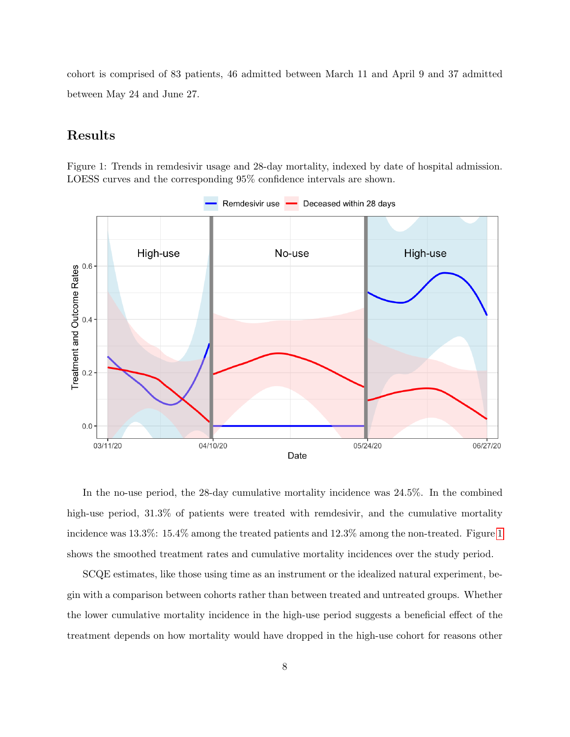cohort is comprised of 83 patients, 46 admitted between March 11 and April 9 and 37 admitted between May 24 and June 27.

## Results

Figure 1: Trends in remdesivir usage and 28-day mortality, indexed by date of hospital admission. LOESS curves and the corresponding 95% confidence intervals are shown.

<span id="page-7-0"></span>

In the no-use period, the 28-day cumulative mortality incidence was 24.5%. In the combined high-use period,  $31.3\%$  of patients were treated with remdesivir, and the cumulative mortality incidence was 13.3%: 15.4% among the treated patients and 12.3% among the non-treated. Figure [1](#page-7-0) shows the smoothed treatment rates and cumulative mortality incidences over the study period.

SCQE estimates, like those using time as an instrument or the idealized natural experiment, begin with a comparison between cohorts rather than between treated and untreated groups. Whether the lower cumulative mortality incidence in the high-use period suggests a beneficial effect of the treatment depends on how mortality would have dropped in the high-use cohort for reasons other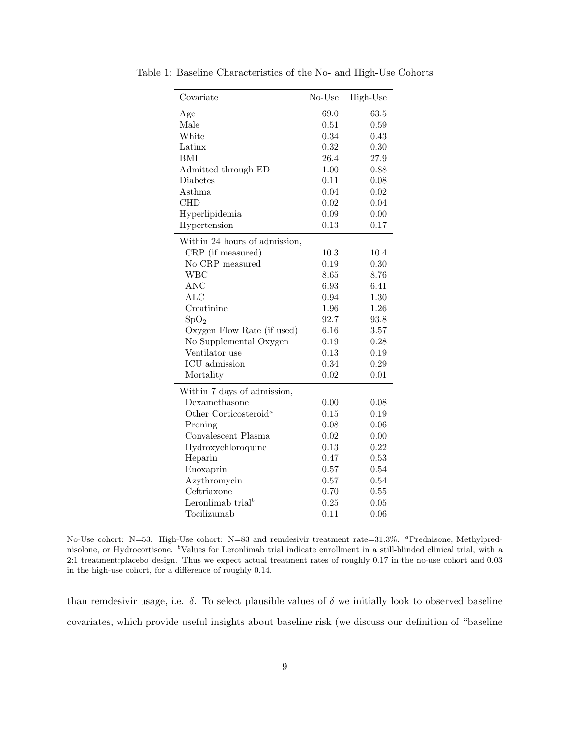| Covariate                         | No-Use | High-Use |
|-----------------------------------|--------|----------|
| Age                               | 69.0   | 63.5     |
| Male                              | 0.51   | 0.59     |
| White                             | 0.34   | 0.43     |
| Latinx                            | 0.32   | 0.30     |
| BMI                               | 26.4   | 27.9     |
| Admitted through ED               | 1.00   | 0.88     |
| Diabetes                          | 0.11   | 0.08     |
| Asthma                            | 0.04   | 0.02     |
| <b>CHD</b>                        | 0.02   | 0.04     |
| Hyperlipidemia                    | 0.09   | 0.00     |
| Hypertension                      | 0.13   | 0.17     |
| Within 24 hours of admission,     |        |          |
| CRP (if measured)                 | 10.3   | 10.4     |
| No CRP measured                   | 0.19   | 0.30     |
| <b>WBC</b>                        | 8.65   | 8.76     |
| <b>ANC</b>                        | 6.93   | 6.41     |
| <b>ALC</b>                        | 0.94   | 1.30     |
| Creatinine                        | 1.96   | 1.26     |
| SpO <sub>2</sub>                  | 92.7   | 93.8     |
| Oxygen Flow Rate (if used)        | 6.16   | 3.57     |
| No Supplemental Oxygen            | 0.19   | 0.28     |
| Ventilator use                    | 0.13   | 0.19     |
| ICU admission                     | 0.34   | 0.29     |
| Mortality                         | 0.02   | 0.01     |
| Within 7 days of admission,       |        |          |
| Dexamethasone                     | 0.00   | 0.08     |
| Other Corticosteroid <sup>a</sup> | 0.15   | 0.19     |
| Proning                           | 0.08   | 0.06     |
| Convalescent Plasma               | 0.02   | 0.00     |
| Hydroxychloroquine                | 0.13   | 0.22     |
| Heparin                           | 0.47   | 0.53     |
| Enoxaprin                         | 0.57   | 0.54     |
| Azythromycin                      | 0.57   | 0.54     |
| Ceftriaxone                       | 0.70   | 0.55     |
| Leronlimab trial <sup>b</sup>     | 0.25   | 0.05     |
| Tocilizumab                       | 0.11   | 0.06     |

<span id="page-8-0"></span>Table 1: Baseline Characteristics of the No- and High-Use Cohorts

No-Use cohort: N=53. High-Use cohort: N=83 and remdesivir treatment rate=31.3%. <sup>a</sup>Prednisone, Methylprednisolone, or Hydrocortisone. <sup>b</sup>Values for Leronlimab trial indicate enrollment in a still-blinded clinical trial, with a 2:1 treatment:placebo design. Thus we expect actual treatment rates of roughly 0.17 in the no-use cohort and 0.03 in the high-use cohort, for a difference of roughly 0.14.

than remdesivir usage, i.e.  $\delta$ . To select plausible values of  $\delta$  we initially look to observed baseline covariates, which provide useful insights about baseline risk (we discuss our definition of "baseline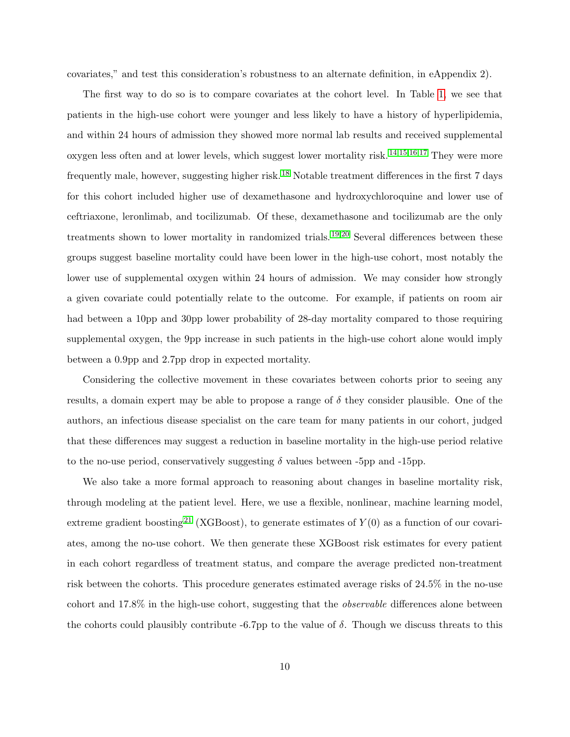covariates," and test this consideration's robustness to an alternate definition, in eAppendix 2).

The first way to do so is to compare covariates at the cohort level. In Table [1,](#page-8-0) we see that patients in the high-use cohort were younger and less likely to have a history of hyperlipidemia, and within 24 hours of admission they showed more normal lab results and received supplemental oxygen less often and at lower levels, which suggest lower mortality risk. [14,](#page-16-3)[15](#page-16-4)[,16,](#page-16-5)[17](#page-16-6) They were more frequently male, however, suggesting higher risk. [18](#page-16-7) Notable treatment differences in the first 7 days for this cohort included higher use of dexamethasone and hydroxychloroquine and lower use of ceftriaxone, leronlimab, and tocilizumab. Of these, dexamethasone and tocilizumab are the only treatments shown to lower mortality in randomized trials.<sup>[19](#page-17-0)[,20](#page-17-1)</sup> Several differences between these groups suggest baseline mortality could have been lower in the high-use cohort, most notably the lower use of supplemental oxygen within 24 hours of admission. We may consider how strongly a given covariate could potentially relate to the outcome. For example, if patients on room air had between a 10pp and 30pp lower probability of 28-day mortality compared to those requiring supplemental oxygen, the 9pp increase in such patients in the high-use cohort alone would imply between a 0.9pp and 2.7pp drop in expected mortality.

Considering the collective movement in these covariates between cohorts prior to seeing any results, a domain expert may be able to propose a range of  $\delta$  they consider plausible. One of the authors, an infectious disease specialist on the care team for many patients in our cohort, judged that these differences may suggest a reduction in baseline mortality in the high-use period relative to the no-use period, conservatively suggesting  $\delta$  values between -5pp and -15pp.

We also take a more formal approach to reasoning about changes in baseline mortality risk, through modeling at the patient level. Here, we use a flexible, nonlinear, machine learning model, extreme gradient boosting<sup>[21](#page-17-2)</sup> (XGBoost), to generate estimates of  $Y(0)$  as a function of our covariates, among the no-use cohort. We then generate these XGBoost risk estimates for every patient in each cohort regardless of treatment status, and compare the average predicted non-treatment risk between the cohorts. This procedure generates estimated average risks of 24.5% in the no-use cohort and 17.8% in the high-use cohort, suggesting that the observable differences alone between the cohorts could plausibly contribute -6.7pp to the value of  $\delta$ . Though we discuss threats to this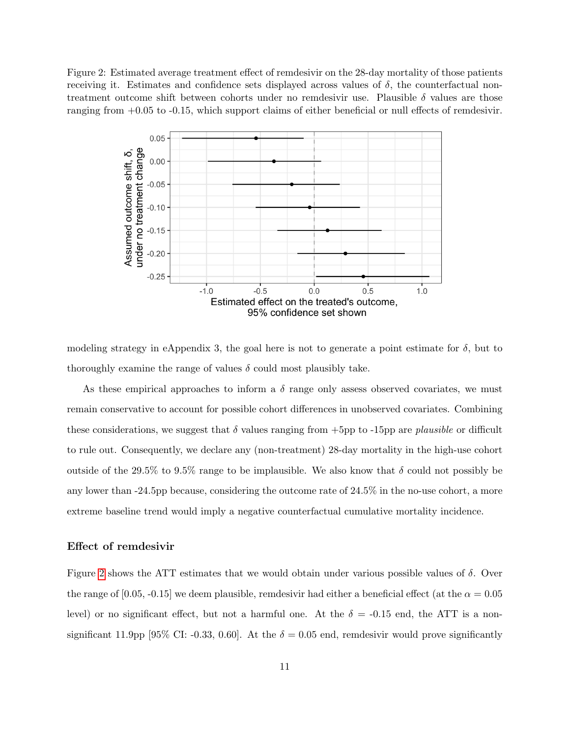Figure 2: Estimated average treatment effect of remdesivir on the 28-day mortality of those patients receiving it. Estimates and confidence sets displayed across values of  $\delta$ , the counterfactual nontreatment outcome shift between cohorts under no remdesivir use. Plausible  $\delta$  values are those ranging from +0.05 to -0.15, which support claims of either beneficial or null effects of remdesivir.

<span id="page-10-0"></span>

modeling strategy in eAppendix 3, the goal here is not to generate a point estimate for  $\delta$ , but to thoroughly examine the range of values  $\delta$  could most plausibly take.

As these empirical approaches to inform a  $\delta$  range only assess observed covariates, we must remain conservative to account for possible cohort differences in unobserved covariates. Combining these considerations, we suggest that  $\delta$  values ranging from +5pp to -15pp are plausible or difficult to rule out. Consequently, we declare any (non-treatment) 28-day mortality in the high-use cohort outside of the 29.5% to 9.5% range to be implausible. We also know that  $\delta$  could not possibly be any lower than -24.5pp because, considering the outcome rate of 24.5% in the no-use cohort, a more extreme baseline trend would imply a negative counterfactual cumulative mortality incidence.

#### Effect of remdesivir

Figure [2](#page-10-0) shows the ATT estimates that we would obtain under various possible values of  $\delta$ . Over the range of [0.05, -0.15] we deem plausible, remdesivir had either a beneficial effect (at the  $\alpha = 0.05$ level) or no significant effect, but not a harmful one. At the  $\delta = -0.15$  end, the ATT is a nonsignificant 11.9pp [95% CI: -0.33, 0.60]. At the  $\delta = 0.05$  end, remdesivir would prove significantly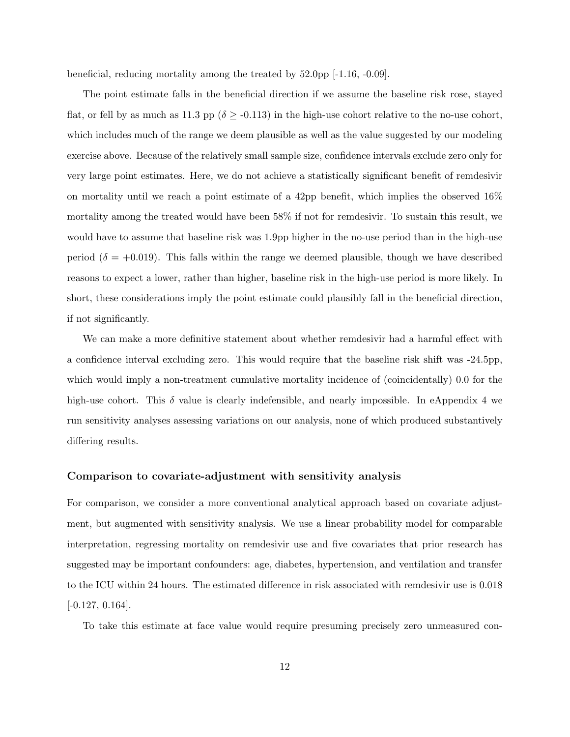beneficial, reducing mortality among the treated by 52.0pp [-1.16, -0.09].

The point estimate falls in the beneficial direction if we assume the baseline risk rose, stayed flat, or fell by as much as 11.3 pp ( $\delta \geq$  -0.113) in the high-use cohort relative to the no-use cohort, which includes much of the range we deem plausible as well as the value suggested by our modeling exercise above. Because of the relatively small sample size, confidence intervals exclude zero only for very large point estimates. Here, we do not achieve a statistically significant benefit of remdesivir on mortality until we reach a point estimate of a 42pp benefit, which implies the observed 16% mortality among the treated would have been 58% if not for remdesivir. To sustain this result, we would have to assume that baseline risk was 1.9pp higher in the no-use period than in the high-use period ( $\delta = +0.019$ ). This falls within the range we deemed plausible, though we have described reasons to expect a lower, rather than higher, baseline risk in the high-use period is more likely. In short, these considerations imply the point estimate could plausibly fall in the beneficial direction, if not significantly.

We can make a more definitive statement about whether remdesivir had a harmful effect with a confidence interval excluding zero. This would require that the baseline risk shift was -24.5pp, which would imply a non-treatment cumulative mortality incidence of (coincidentally) 0.0 for the high-use cohort. This  $\delta$  value is clearly indefensible, and nearly impossible. In eAppendix 4 we run sensitivity analyses assessing variations on our analysis, none of which produced substantively differing results.

#### Comparison to covariate-adjustment with sensitivity analysis

For comparison, we consider a more conventional analytical approach based on covariate adjustment, but augmented with sensitivity analysis. We use a linear probability model for comparable interpretation, regressing mortality on remdesivir use and five covariates that prior research has suggested may be important confounders: age, diabetes, hypertension, and ventilation and transfer to the ICU within 24 hours. The estimated difference in risk associated with remdesivir use is 0.018  $[-0.127, 0.164]$ .

To take this estimate at face value would require presuming precisely zero unmeasured con-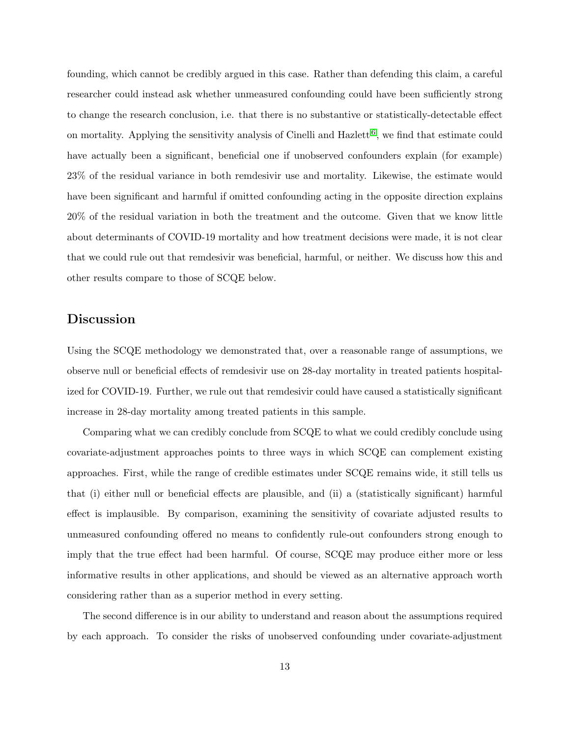founding, which cannot be credibly argued in this case. Rather than defending this claim, a careful researcher could instead ask whether unmeasured confounding could have been sufficiently strong to change the research conclusion, i.e. that there is no substantive or statistically-detectable effect on mortality. Applying the sensitivity analysis of Cinelli and Hazlett<sup>[6](#page-15-5)</sup>, we find that estimate could have actually been a significant, beneficial one if unobserved confounders explain (for example) 23% of the residual variance in both remdesivir use and mortality. Likewise, the estimate would have been significant and harmful if omitted confounding acting in the opposite direction explains 20% of the residual variation in both the treatment and the outcome. Given that we know little about determinants of COVID-19 mortality and how treatment decisions were made, it is not clear that we could rule out that remdesivir was beneficial, harmful, or neither. We discuss how this and other results compare to those of SCQE below.

#### Discussion

Using the SCQE methodology we demonstrated that, over a reasonable range of assumptions, we observe null or beneficial effects of remdesivir use on 28-day mortality in treated patients hospitalized for COVID-19. Further, we rule out that remdesivir could have caused a statistically significant increase in 28-day mortality among treated patients in this sample.

Comparing what we can credibly conclude from SCQE to what we could credibly conclude using covariate-adjustment approaches points to three ways in which SCQE can complement existing approaches. First, while the range of credible estimates under SCQE remains wide, it still tells us that (i) either null or beneficial effects are plausible, and (ii) a (statistically significant) harmful effect is implausible. By comparison, examining the sensitivity of covariate adjusted results to unmeasured confounding offered no means to confidently rule-out confounders strong enough to imply that the true effect had been harmful. Of course, SCQE may produce either more or less informative results in other applications, and should be viewed as an alternative approach worth considering rather than as a superior method in every setting.

The second difference is in our ability to understand and reason about the assumptions required by each approach. To consider the risks of unobserved confounding under covariate-adjustment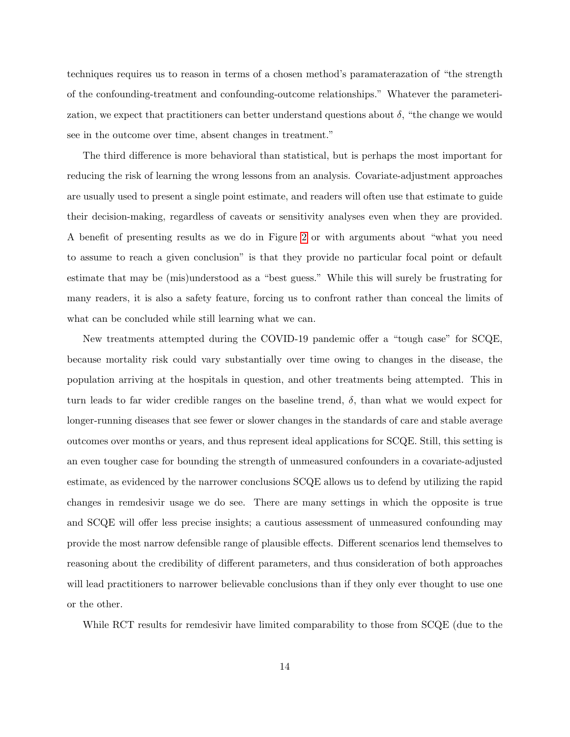techniques requires us to reason in terms of a chosen method's paramaterazation of "the strength of the confounding-treatment and confounding-outcome relationships." Whatever the parameterization, we expect that practitioners can better understand questions about  $\delta$ , "the change we would see in the outcome over time, absent changes in treatment."

The third difference is more behavioral than statistical, but is perhaps the most important for reducing the risk of learning the wrong lessons from an analysis. Covariate-adjustment approaches are usually used to present a single point estimate, and readers will often use that estimate to guide their decision-making, regardless of caveats or sensitivity analyses even when they are provided. A benefit of presenting results as we do in Figure [2](#page-10-0) or with arguments about "what you need to assume to reach a given conclusion" is that they provide no particular focal point or default estimate that may be (mis)understood as a "best guess." While this will surely be frustrating for many readers, it is also a safety feature, forcing us to confront rather than conceal the limits of what can be concluded while still learning what we can.

New treatments attempted during the COVID-19 pandemic offer a "tough case" for SCQE, because mortality risk could vary substantially over time owing to changes in the disease, the population arriving at the hospitals in question, and other treatments being attempted. This in turn leads to far wider credible ranges on the baseline trend,  $\delta$ , than what we would expect for longer-running diseases that see fewer or slower changes in the standards of care and stable average outcomes over months or years, and thus represent ideal applications for SCQE. Still, this setting is an even tougher case for bounding the strength of unmeasured confounders in a covariate-adjusted estimate, as evidenced by the narrower conclusions SCQE allows us to defend by utilizing the rapid changes in remdesivir usage we do see. There are many settings in which the opposite is true and SCQE will offer less precise insights; a cautious assessment of unmeasured confounding may provide the most narrow defensible range of plausible effects. Different scenarios lend themselves to reasoning about the credibility of different parameters, and thus consideration of both approaches will lead practitioners to narrower believable conclusions than if they only ever thought to use one or the other.

While RCT results for remdesivir have limited comparability to those from SCQE (due to the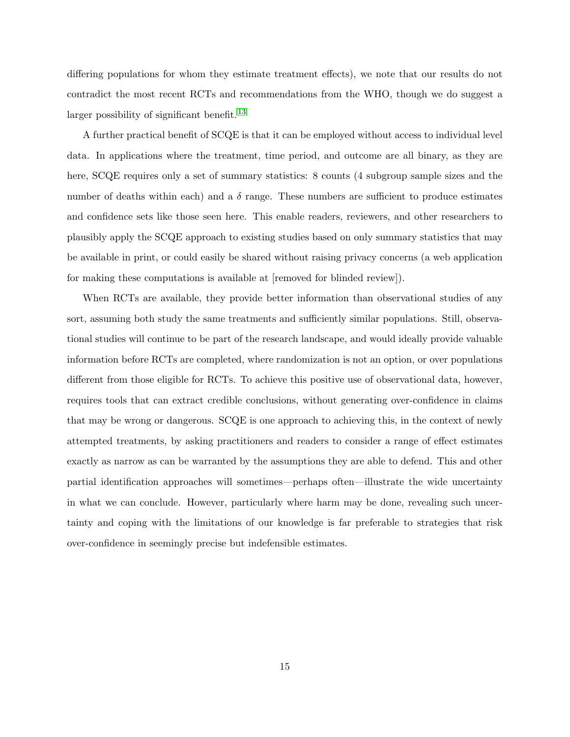differing populations for whom they estimate treatment effects), we note that our results do not contradict the most recent RCTs and recommendations from the WHO, though we do suggest a larger possibility of significant benefit.<sup>[13](#page-16-2)</sup>

A further practical benefit of SCQE is that it can be employed without access to individual level data. In applications where the treatment, time period, and outcome are all binary, as they are here, SCQE requires only a set of summary statistics: 8 counts (4 subgroup sample sizes and the number of deaths within each) and a  $\delta$  range. These numbers are sufficient to produce estimates and confidence sets like those seen here. This enable readers, reviewers, and other researchers to plausibly apply the SCQE approach to existing studies based on only summary statistics that may be available in print, or could easily be shared without raising privacy concerns (a web application for making these computations is available at [removed for blinded review]).

When RCTs are available, they provide better information than observational studies of any sort, assuming both study the same treatments and sufficiently similar populations. Still, observational studies will continue to be part of the research landscape, and would ideally provide valuable information before RCTs are completed, where randomization is not an option, or over populations different from those eligible for RCTs. To achieve this positive use of observational data, however, requires tools that can extract credible conclusions, without generating over-confidence in claims that may be wrong or dangerous. SCQE is one approach to achieving this, in the context of newly attempted treatments, by asking practitioners and readers to consider a range of effect estimates exactly as narrow as can be warranted by the assumptions they are able to defend. This and other partial identification approaches will sometimes—perhaps often—illustrate the wide uncertainty in what we can conclude. However, particularly where harm may be done, revealing such uncertainty and coping with the limitations of our knowledge is far preferable to strategies that risk over-confidence in seemingly precise but indefensible estimates.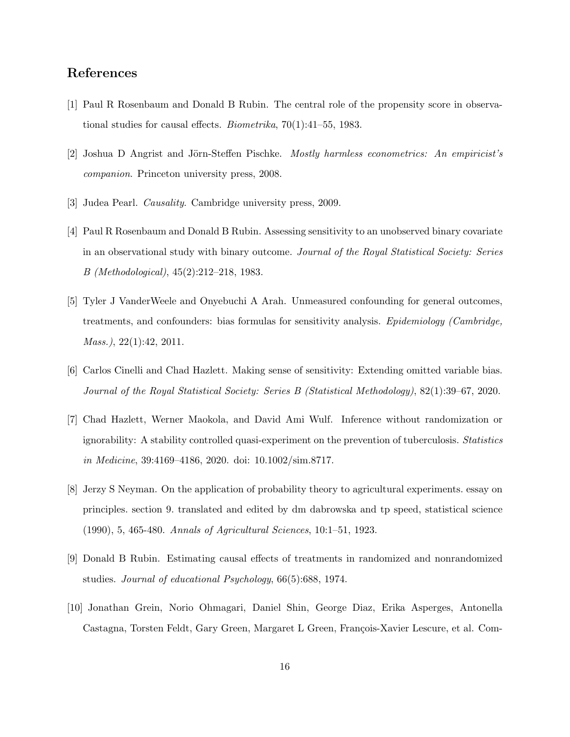## References

- <span id="page-15-0"></span>[1] Paul R Rosenbaum and Donald B Rubin. The central role of the propensity score in observational studies for causal effects. Biometrika, 70(1):41–55, 1983.
- <span id="page-15-1"></span>[2] Joshua D Angrist and Jörn-Steffen Pischke. *Mostly harmless econometrics: An empiricist's* companion. Princeton university press, 2008.
- <span id="page-15-2"></span>[3] Judea Pearl. Causality. Cambridge university press, 2009.
- <span id="page-15-3"></span>[4] Paul R Rosenbaum and Donald B Rubin. Assessing sensitivity to an unobserved binary covariate in an observational study with binary outcome. Journal of the Royal Statistical Society: Series B (Methodological), 45(2):212–218, 1983.
- <span id="page-15-4"></span>[5] Tyler J VanderWeele and Onyebuchi A Arah. Unmeasured confounding for general outcomes, treatments, and confounders: bias formulas for sensitivity analysis. Epidemiology (Cambridge, Mass.), 22(1):42, 2011.
- <span id="page-15-5"></span>[6] Carlos Cinelli and Chad Hazlett. Making sense of sensitivity: Extending omitted variable bias. Journal of the Royal Statistical Society: Series B (Statistical Methodology), 82(1):39–67, 2020.
- <span id="page-15-6"></span>[7] Chad Hazlett, Werner Maokola, and David Ami Wulf. Inference without randomization or ignorability: A stability controlled quasi-experiment on the prevention of tuberculosis. Statistics in Medicine, 39:4169–4186, 2020. doi: 10.1002/sim.8717.
- <span id="page-15-7"></span>[8] Jerzy S Neyman. On the application of probability theory to agricultural experiments. essay on principles. section 9. translated and edited by dm dabrowska and tp speed, statistical science (1990), 5, 465-480. Annals of Agricultural Sciences, 10:1–51, 1923.
- <span id="page-15-8"></span>[9] Donald B Rubin. Estimating causal effects of treatments in randomized and nonrandomized studies. Journal of educational Psychology, 66(5):688, 1974.
- <span id="page-15-9"></span>[10] Jonathan Grein, Norio Ohmagari, Daniel Shin, George Diaz, Erika Asperges, Antonella Castagna, Torsten Feldt, Gary Green, Margaret L Green, François-Xavier Lescure, et al. Com-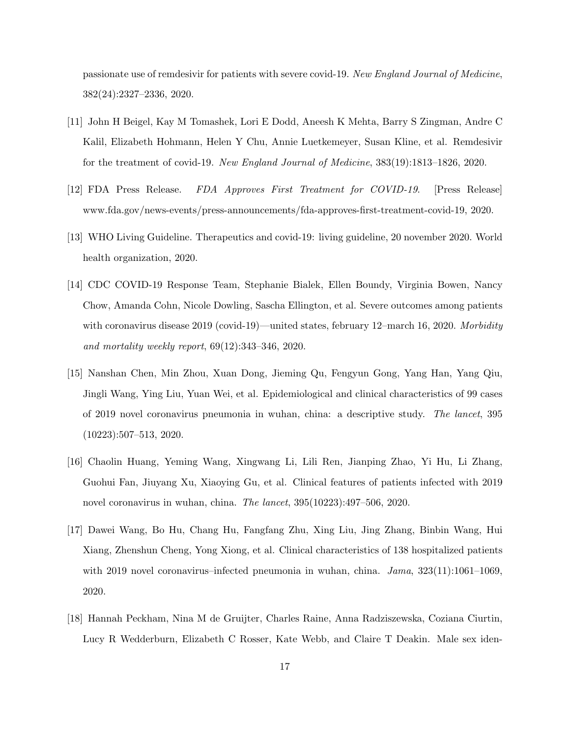passionate use of remdesivir for patients with severe covid-19. New England Journal of Medicine, 382(24):2327–2336, 2020.

- <span id="page-16-0"></span>[11] John H Beigel, Kay M Tomashek, Lori E Dodd, Aneesh K Mehta, Barry S Zingman, Andre C Kalil, Elizabeth Hohmann, Helen Y Chu, Annie Luetkemeyer, Susan Kline, et al. Remdesivir for the treatment of covid-19. New England Journal of Medicine, 383(19):1813–1826, 2020.
- <span id="page-16-1"></span>[12] FDA Press Release. FDA Approves First Treatment for COVID-19. [Press Release] www.fda.gov/news-events/press-announcements/fda-approves-first-treatment-covid-19, 2020.
- <span id="page-16-2"></span>[13] WHO Living Guideline. Therapeutics and covid-19: living guideline, 20 november 2020. World health organization, 2020.
- <span id="page-16-3"></span>[14] CDC COVID-19 Response Team, Stephanie Bialek, Ellen Boundy, Virginia Bowen, Nancy Chow, Amanda Cohn, Nicole Dowling, Sascha Ellington, et al. Severe outcomes among patients with coronavirus disease 2019 (covid-19)—united states, february 12–march 16, 2020. Morbidity and mortality weekly report, 69(12):343–346, 2020.
- <span id="page-16-4"></span>[15] Nanshan Chen, Min Zhou, Xuan Dong, Jieming Qu, Fengyun Gong, Yang Han, Yang Qiu, Jingli Wang, Ying Liu, Yuan Wei, et al. Epidemiological and clinical characteristics of 99 cases of 2019 novel coronavirus pneumonia in wuhan, china: a descriptive study. The lancet, 395 (10223):507–513, 2020.
- <span id="page-16-5"></span>[16] Chaolin Huang, Yeming Wang, Xingwang Li, Lili Ren, Jianping Zhao, Yi Hu, Li Zhang, Guohui Fan, Jiuyang Xu, Xiaoying Gu, et al. Clinical features of patients infected with 2019 novel coronavirus in wuhan, china. The lancet, 395(10223):497–506, 2020.
- <span id="page-16-6"></span>[17] Dawei Wang, Bo Hu, Chang Hu, Fangfang Zhu, Xing Liu, Jing Zhang, Binbin Wang, Hui Xiang, Zhenshun Cheng, Yong Xiong, et al. Clinical characteristics of 138 hospitalized patients with 2019 novel coronavirus–infected pneumonia in wuhan, china.  $Jama$ ,  $323(11):1061-1069$ , 2020.
- <span id="page-16-7"></span>[18] Hannah Peckham, Nina M de Gruijter, Charles Raine, Anna Radziszewska, Coziana Ciurtin, Lucy R Wedderburn, Elizabeth C Rosser, Kate Webb, and Claire T Deakin. Male sex iden-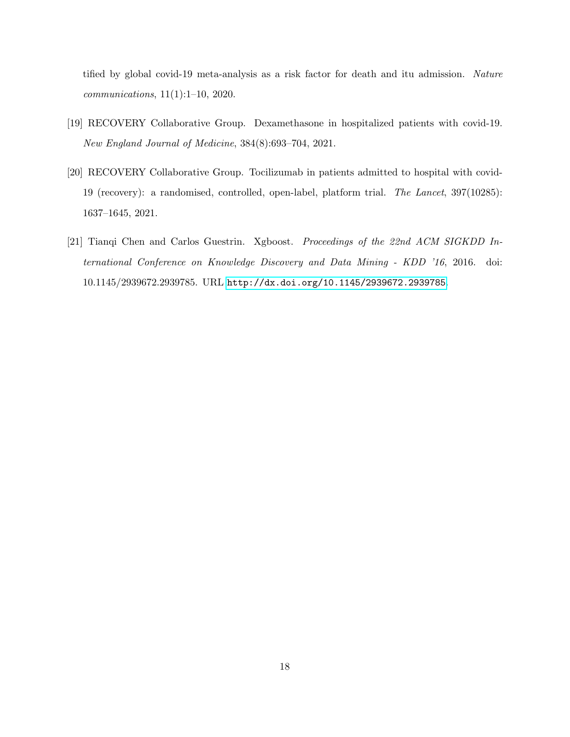tified by global covid-19 meta-analysis as a risk factor for death and itu admission. Nature communications, 11(1):1–10, 2020.

- <span id="page-17-0"></span>[19] RECOVERY Collaborative Group. Dexamethasone in hospitalized patients with covid-19. New England Journal of Medicine, 384(8):693–704, 2021.
- <span id="page-17-1"></span>[20] RECOVERY Collaborative Group. Tocilizumab in patients admitted to hospital with covid-19 (recovery): a randomised, controlled, open-label, platform trial. The Lancet, 397(10285): 1637–1645, 2021.
- <span id="page-17-2"></span>[21] Tianqi Chen and Carlos Guestrin. Xgboost. Proceedings of the 22nd ACM SIGKDD International Conference on Knowledge Discovery and Data Mining - KDD '16, 2016. doi: 10.1145/2939672.2939785. URL <http://dx.doi.org/10.1145/2939672.2939785>.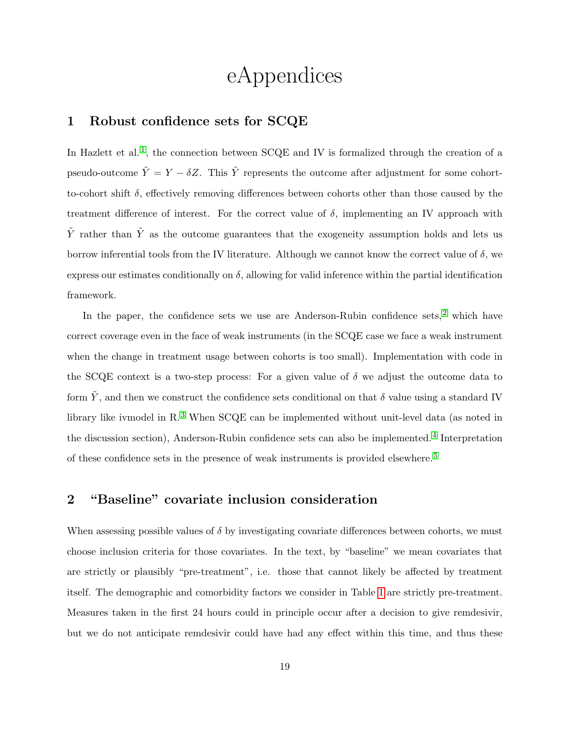# eAppendices

#### 1 Robust confidence sets for SCQE

In Hazlett et al.<sup>[1](#page-24-0)</sup>, the connection between  $SCQE$  and IV is formalized through the creation of a pseudo-outcome  $\tilde{Y} = Y - \delta Z$ . This  $\tilde{Y}$  represents the outcome after adjustment for some cohortto-cohort shift  $\delta$ , effectively removing differences between cohorts other than those caused by the treatment difference of interest. For the correct value of  $\delta$ , implementing an IV approach with  $\tilde{Y}$  rather than  $\tilde{Y}$  as the outcome guarantees that the exogeneity assumption holds and lets us borrow inferential tools from the IV literature. Although we cannot know the correct value of  $\delta$ , we express our estimates conditionally on  $\delta$ , allowing for valid inference within the partial identification framework.

In the paper, the confidence sets we use are Anderson-Rubin confidence sets,<sup>[2](#page-24-1)</sup> which have correct coverage even in the face of weak instruments (in the SCQE case we face a weak instrument when the change in treatment usage between cohorts is too small). Implementation with code in the SCQE context is a two-step process: For a given value of  $\delta$  we adjust the outcome data to form  $\tilde{Y}$ , and then we construct the confidence sets conditional on that  $\delta$  value using a standard IV library like ivmodel in R.<sup>[3](#page-24-2)</sup> When SCQE can be implemented without unit-level data (as noted in the discussion section), Anderson-Rubin confidence sets can also be implemented.<sup>[4](#page-24-3)</sup> Interpretation of these confidence sets in the presence of weak instruments is provided elsewhere. [5](#page-24-4)

## 2 "Baseline" covariate inclusion consideration

When assessing possible values of  $\delta$  by investigating covariate differences between cohorts, we must choose inclusion criteria for those covariates. In the text, by "baseline" we mean covariates that are strictly or plausibly "pre-treatment", i.e. those that cannot likely be affected by treatment itself. The demographic and comorbidity factors we consider in Table [1](#page-8-0) are strictly pre-treatment. Measures taken in the first 24 hours could in principle occur after a decision to give remdesivir, but we do not anticipate remdesivir could have had any effect within this time, and thus these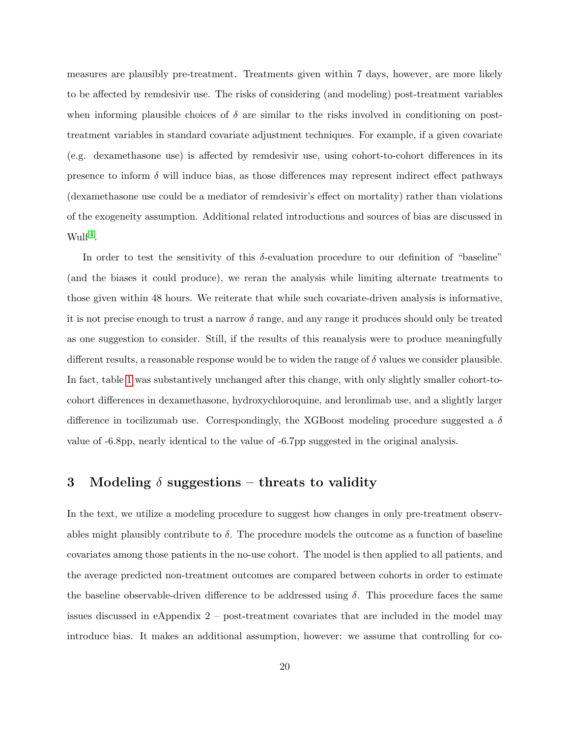measures are plausibly pre-treatment. Treatments given within 7 days, however, are more likely to be affected by remdesivir use. The risks of considering (and modeling) post-treatment variables when informing plausible choices of  $\delta$  are similar to the risks involved in conditioning on posttreatment variables in standard covariate adjustment techniques. For example, if a given covariate (e.g. dexamethasone use) is affected by remdesivir use, using cohort-to-cohort differences in its presence to inform  $\delta$  will induce bias, as those differences may represent indirect effect pathways (dexamethasone use could be a mediator of remdesivir's effect on mortality) rather than violations of the exogeneity assumption. Additional related introductions and sources of bias are discussed in  $Wulf<sup>4</sup>$  $Wulf<sup>4</sup>$  $Wulf<sup>4</sup>$ .

In order to test the sensitivity of this  $\delta$ -evaluation procedure to our definition of "baseline" (and the biases it could produce), we reran the analysis while limiting alternate treatments to those given within 48 hours. We reiterate that while such covariate-driven analysis is informative, it is not precise enough to trust a narrow  $\delta$  range, and any range it produces should only be treated as one suggestion to consider. Still, if the results of this reanalysis were to produce meaningfully different results, a reasonable response would be to widen the range of  $\delta$  values we consider plausible. In fact, table [1](#page-8-0) was substantively unchanged after this change, with only slightly smaller cohort-tocohort differences in dexamethasone, hydroxychloroquine, and leronlimab use, and a slightly larger difference in tocilizumab use. Correspondingly, the XGBoost modeling procedure suggested a  $\delta$ value of -6.8pp, nearly identical to the value of -6.7pp suggested in the original analysis.

## 3 Modeling  $\delta$  suggestions – threats to validity

In the text, we utilize a modeling procedure to suggest how changes in only pre-treatment observables might plausibly contribute to  $\delta$ . The procedure models the outcome as a function of baseline covariates among those patients in the no-use cohort. The model is then applied to all patients, and the average predicted non-treatment outcomes are compared between cohorts in order to estimate the baseline observable-driven difference to be addressed using  $\delta$ . This procedure faces the same issues discussed in eAppendix 2 – post-treatment covariates that are included in the model may introduce bias. It makes an additional assumption, however: we assume that controlling for co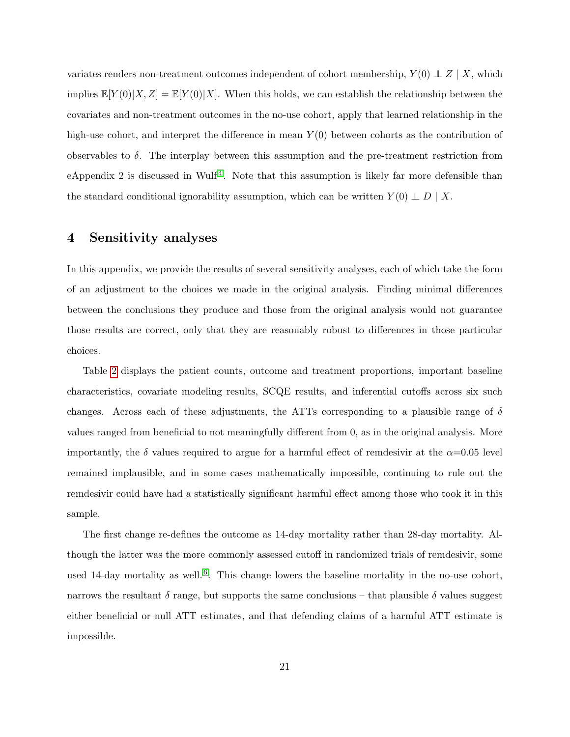variates renders non-treatment outcomes independent of cohort membership,  $Y(0) \perp Z \mid X$ , which implies  $\mathbb{E}[Y(0)|X, Z] = \mathbb{E}[Y(0)|X]$ . When this holds, we can establish the relationship between the covariates and non-treatment outcomes in the no-use cohort, apply that learned relationship in the high-use cohort, and interpret the difference in mean  $Y(0)$  between cohorts as the contribution of observables to  $\delta$ . The interplay between this assumption and the pre-treatment restriction from eAppendix 2 is discussed in Wulf<sup>[4](#page-24-3)</sup>. Note that this assumption is likely far more defensible than the standard conditional ignorability assumption, which can be written  $Y(0) \perp D \mid X$ .

#### 4 Sensitivity analyses

In this appendix, we provide the results of several sensitivity analyses, each of which take the form of an adjustment to the choices we made in the original analysis. Finding minimal differences between the conclusions they produce and those from the original analysis would not guarantee those results are correct, only that they are reasonably robust to differences in those particular choices.

Table [2](#page-23-0) displays the patient counts, outcome and treatment proportions, important baseline characteristics, covariate modeling results, SCQE results, and inferential cutoffs across six such changes. Across each of these adjustments, the ATTs corresponding to a plausible range of  $\delta$ values ranged from beneficial to not meaningfully different from 0, as in the original analysis. More importantly, the  $\delta$  values required to argue for a harmful effect of remdesivir at the  $\alpha$ =0.05 level remained implausible, and in some cases mathematically impossible, continuing to rule out the remdesivir could have had a statistically significant harmful effect among those who took it in this sample.

The first change re-defines the outcome as 14-day mortality rather than 28-day mortality. Although the latter was the more commonly assessed cutoff in randomized trials of remdesivir, some used 14-day mortality as well.<sup>[6](#page-24-5)</sup>. This change lowers the baseline mortality in the no-use cohort, narrows the resultant  $\delta$  range, but supports the same conclusions – that plausible  $\delta$  values suggest either beneficial or null ATT estimates, and that defending claims of a harmful ATT estimate is impossible.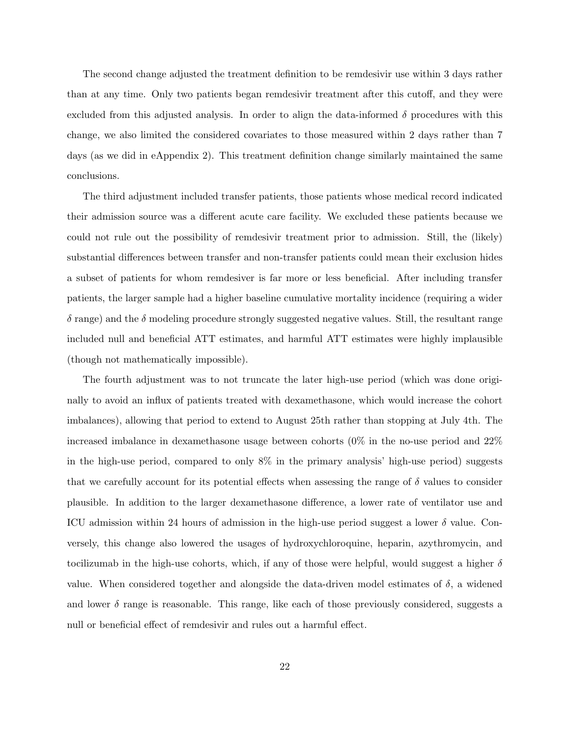The second change adjusted the treatment definition to be remdesivir use within 3 days rather than at any time. Only two patients began remdesivir treatment after this cutoff, and they were excluded from this adjusted analysis. In order to align the data-informed  $\delta$  procedures with this change, we also limited the considered covariates to those measured within 2 days rather than 7 days (as we did in eAppendix 2). This treatment definition change similarly maintained the same conclusions.

The third adjustment included transfer patients, those patients whose medical record indicated their admission source was a different acute care facility. We excluded these patients because we could not rule out the possibility of remdesivir treatment prior to admission. Still, the (likely) substantial differences between transfer and non-transfer patients could mean their exclusion hides a subset of patients for whom remdesiver is far more or less beneficial. After including transfer patients, the larger sample had a higher baseline cumulative mortality incidence (requiring a wider  $\delta$  range) and the  $\delta$  modeling procedure strongly suggested negative values. Still, the resultant range included null and beneficial ATT estimates, and harmful ATT estimates were highly implausible (though not mathematically impossible).

The fourth adjustment was to not truncate the later high-use period (which was done originally to avoid an influx of patients treated with dexamethasone, which would increase the cohort imbalances), allowing that period to extend to August 25th rather than stopping at July 4th. The increased imbalance in dexamethasone usage between cohorts (0% in the no-use period and 22% in the high-use period, compared to only  $8\%$  in the primary analysis' high-use period) suggests that we carefully account for its potential effects when assessing the range of  $\delta$  values to consider plausible. In addition to the larger dexamethasone difference, a lower rate of ventilator use and ICU admission within 24 hours of admission in the high-use period suggest a lower  $\delta$  value. Conversely, this change also lowered the usages of hydroxychloroquine, heparin, azythromycin, and tocilizumab in the high-use cohorts, which, if any of those were helpful, would suggest a higher  $\delta$ value. When considered together and alongside the data-driven model estimates of  $\delta$ , a widened and lower  $\delta$  range is reasonable. This range, like each of those previously considered, suggests a null or beneficial effect of remdesivir and rules out a harmful effect.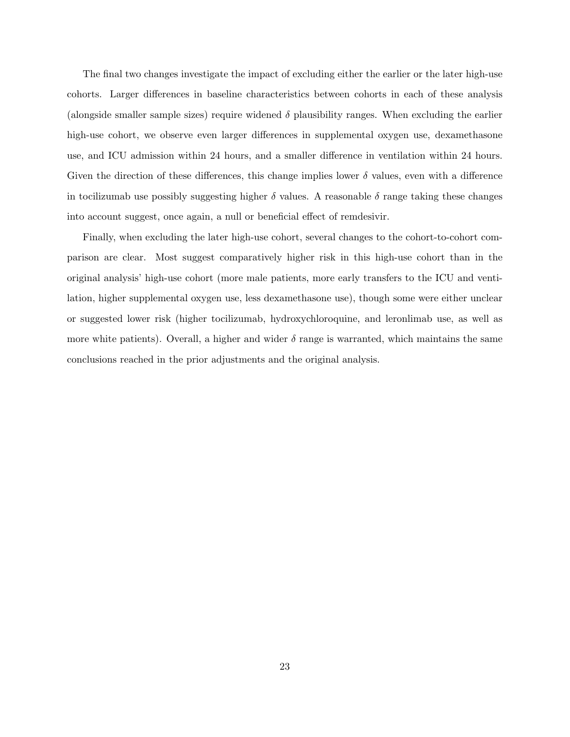The final two changes investigate the impact of excluding either the earlier or the later high-use cohorts. Larger differences in baseline characteristics between cohorts in each of these analysis (alongside smaller sample sizes) require widened  $\delta$  plausibility ranges. When excluding the earlier high-use cohort, we observe even larger differences in supplemental oxygen use, dexamethasone use, and ICU admission within 24 hours, and a smaller difference in ventilation within 24 hours. Given the direction of these differences, this change implies lower  $\delta$  values, even with a difference in tocilizumab use possibly suggesting higher  $\delta$  values. A reasonable  $\delta$  range taking these changes into account suggest, once again, a null or beneficial effect of remdesivir.

Finally, when excluding the later high-use cohort, several changes to the cohort-to-cohort comparison are clear. Most suggest comparatively higher risk in this high-use cohort than in the original analysis' high-use cohort (more male patients, more early transfers to the ICU and ventilation, higher supplemental oxygen use, less dexamethasone use), though some were either unclear or suggested lower risk (higher tocilizumab, hydroxychloroquine, and leronlimab use, as well as more white patients). Overall, a higher and wider  $\delta$  range is warranted, which maintains the same conclusions reached in the prior adjustments and the original analysis.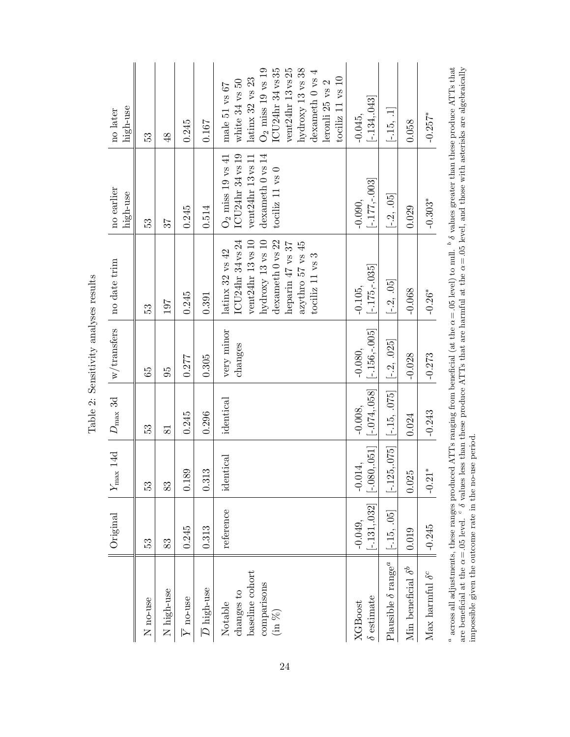<span id="page-23-0"></span>Table 2: Sensitivity analyses results Table 2: Sensitivity analyses results <sup>a</sup> across all adjustments, these ranges produced ATTs ranging from beneficial (at the  $\alpha$  = .05 level) to null. <sup>b</sup>  $\delta$  values greater than these produce ATTs that are beneficial at the  $\alpha$  = .05 level, and those with  $^a$  across all adjustments, these ranges produced ATTs ranging from beneficial (at the  $\alpha = .05$  level) to null.  $^b$   $\delta$  values greater than these produce ATTs that are beneficial at the  $\alpha$  =.05 level.  $^c$   $\delta$  values less than these produce ATTs that are harmful at the  $\alpha$  =.05 level, and those with asterisks are algebraically impossible given the outcome rate in the no-use period.